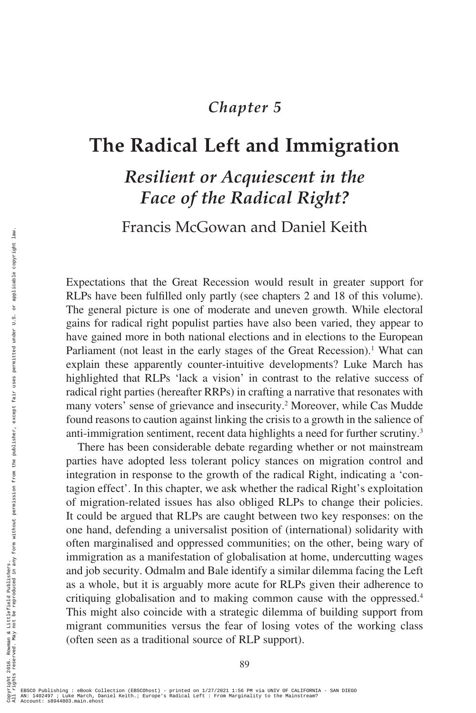# *Chapter 5*

# **The Radical Left and Immigration**

# *Resilient or Acquiescent in the Face of the Radical Right?*

Francis McGowan and Daniel Keith

Expectations that the Great Recession would result in greater support for RLPs have been fulfilled only partly (see chapters 2 and 18 of this volume). The general picture is one of moderate and uneven growth. While electoral gains for radical right populist parties have also been varied, they appear to have gained more in both national elections and in elections to the European Parliament (not least in the early stages of the Great Recession).<sup>1</sup> What can explain these apparently counter-intuitive developments? Luke March has highlighted that RLPs 'lack a vision' in contrast to the relative success of radical right parties (hereafter RRPs) in crafting a narrative that resonates with many voters' sense of grievance and insecurity.<sup>2</sup> Moreover, while Cas Mudde found reasons to caution against linking the crisis to a growth in the salience of anti-immigration sentiment, recent data highlights a need for further scrutiny.3

There has been considerable debate regarding whether or not mainstream parties have adopted less tolerant policy stances on migration control and integration in response to the growth of the radical Right, indicating a 'contagion effect'. In this chapter, we ask whether the radical Right's exploitation of migration-related issues has also obliged RLPs to change their policies. It could be argued that RLPs are caught between two key responses: on the one hand, defending a universalist position of (international) solidarity with often marginalised and oppressed communities; on the other, being wary of immigration as a manifestation of globalisation at home, undercutting wages and job security. Odmalm and Bale identify a similar dilemma facing the Left as a whole, but it is arguably more acute for RLPs given their adherence to critiquing globalisation and to making common cause with the oppressed.4 This might also coincide with a strategic dilemma of building support from migrant communities versus the fear of losing votes of the working class (often seen as a traditional source of RLP support).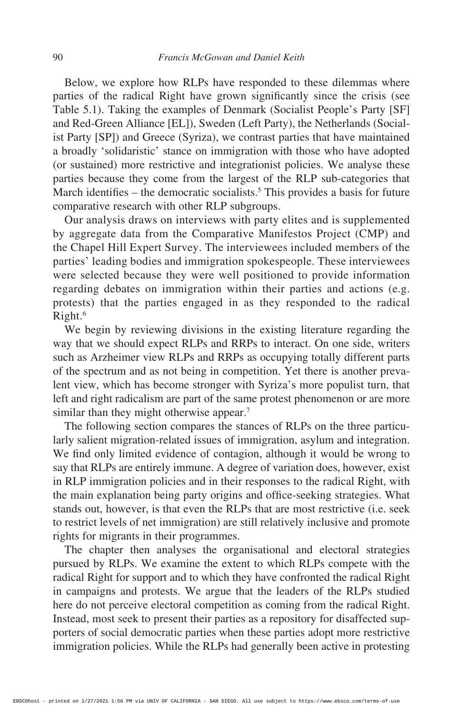Below, we explore how RLPs have responded to these dilemmas where parties of the radical Right have grown significantly since the crisis (see Table 5.1). Taking the examples of Denmark (Socialist People's Party [SF] and Red-Green Alliance [EL]), Sweden (Left Party), the Netherlands (Socialist Party [SP]) and Greece (Syriza), we contrast parties that have maintained a broadly 'solidaristic' stance on immigration with those who have adopted (or sustained) more restrictive and integrationist policies. We analyse these parties because they come from the largest of the RLP sub-categories that March identifies  $-$  the democratic socialists.<sup>5</sup> This provides a basis for future comparative research with other RLP subgroups.

Our analysis draws on interviews with party elites and is supplemented by aggregate data from the Comparative Manifestos Project (CMP) and the Chapel Hill Expert Survey. The interviewees included members of the parties' leading bodies and immigration spokespeople. These interviewees were selected because they were well positioned to provide information regarding debates on immigration within their parties and actions (e.g. protests) that the parties engaged in as they responded to the radical Right.6

We begin by reviewing divisions in the existing literature regarding the way that we should expect RLPs and RRPs to interact. On one side, writers such as Arzheimer view RLPs and RRPs as occupying totally different parts of the spectrum and as not being in competition. Yet there is another prevalent view, which has become stronger with Syriza's more populist turn, that left and right radicalism are part of the same protest phenomenon or are more similar than they might otherwise appear.<sup>7</sup>

The following section compares the stances of RLPs on the three particularly salient migration-related issues of immigration, asylum and integration. We find only limited evidence of contagion, although it would be wrong to say that RLPs are entirely immune. A degree of variation does, however, exist in RLP immigration policies and in their responses to the radical Right, with the main explanation being party origins and office-seeking strategies. What stands out, however, is that even the RLPs that are most restrictive (i.e. seek to restrict levels of net immigration) are still relatively inclusive and promote rights for migrants in their programmes.

The chapter then analyses the organisational and electoral strategies pursued by RLPs. We examine the extent to which RLPs compete with the radical Right for support and to which they have confronted the radical Right in campaigns and protests. We argue that the leaders of the RLPs studied here do not perceive electoral competition as coming from the radical Right. Instead, most seek to present their parties as a repository for disaffected supporters of social democratic parties when these parties adopt more restrictive immigration policies. While the RLPs had generally been active in protesting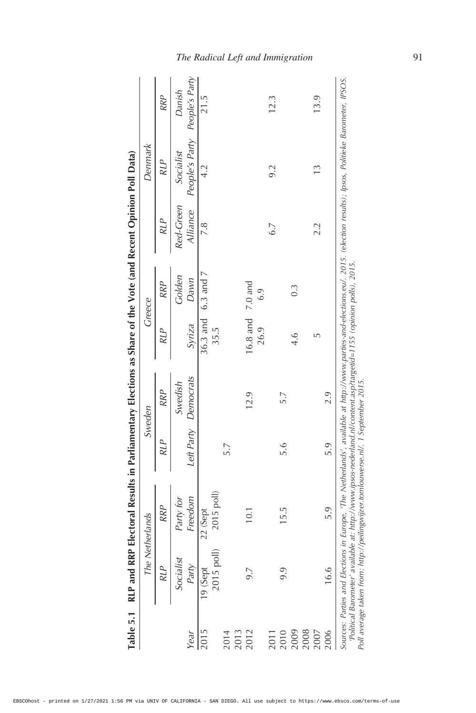|      |                                                                                                                                                                                                         | The Netherlands |            | Sweden               |                  | Greece               |            | Denmark                                                                                                                                                                      |            |
|------|---------------------------------------------------------------------------------------------------------------------------------------------------------------------------------------------------------|-----------------|------------|----------------------|------------------|----------------------|------------|------------------------------------------------------------------------------------------------------------------------------------------------------------------------------|------------|
|      | RLP                                                                                                                                                                                                     | <b>RRP</b>      | <b>RLP</b> | <b>RRP</b>           | <b>RLP</b>       | RRP                  | <b>RLP</b> | <b>RLP</b>                                                                                                                                                                   | <b>RRP</b> |
|      | Socialist                                                                                                                                                                                               | Party for       |            | Swedish              |                  | Golden               | Red-Green  | Socialist                                                                                                                                                                    | Danish     |
| Year | Party                                                                                                                                                                                                   | Freedom         |            | Left Party Democrats | Syriza           | Dawn                 |            | Alliance People's Party People's Party                                                                                                                                       |            |
| 2015 | 19 (Sept                                                                                                                                                                                                | 22 (Sept        |            |                      |                  | 36.3 and 6.3 and $7$ | 7.8        | 4.2                                                                                                                                                                          | 21.5       |
|      | 2015 poll)                                                                                                                                                                                              | 2015 poll)      |            |                      | 35.5             |                      |            |                                                                                                                                                                              |            |
| 2014 |                                                                                                                                                                                                         |                 | 5.7        |                      |                  |                      |            |                                                                                                                                                                              |            |
| 2013 |                                                                                                                                                                                                         |                 |            |                      |                  |                      |            |                                                                                                                                                                              |            |
| 2012 | 9.7                                                                                                                                                                                                     | 10.1            |            | 12.9                 | 16.8 and 7.0 and |                      |            |                                                                                                                                                                              |            |
|      |                                                                                                                                                                                                         |                 |            |                      | 26.9             | 6.9                  |            |                                                                                                                                                                              |            |
| 2011 |                                                                                                                                                                                                         |                 |            |                      |                  |                      | 6.7        | 9.2                                                                                                                                                                          | 12.3       |
| 2010 | 9.9                                                                                                                                                                                                     | 15.5            | 5.6        | 5.7                  |                  |                      |            |                                                                                                                                                                              |            |
| 2009 |                                                                                                                                                                                                         |                 |            |                      | $\frac{4}{1}$    | $0.\overline{3}$     |            |                                                                                                                                                                              |            |
| 2008 |                                                                                                                                                                                                         |                 |            |                      |                  |                      |            |                                                                                                                                                                              |            |
| 2007 |                                                                                                                                                                                                         |                 |            |                      |                  |                      | 2.2        |                                                                                                                                                                              | 13.9       |
| 2006 | 16.6                                                                                                                                                                                                    | 5.9             | 5.9        | 2.9                  |                  |                      |            |                                                                                                                                                                              |            |
|      | . 2015. (Political Barometer' available at: http://www.ipsos-nederland.nl/content.asp?targetid=1155 (opinion polis)<br>Poll average taken from: http://peilingwijzer.tomlouwerse.nl/. 1 September 2015. |                 |            |                      |                  |                      |            | Sources: Parties and Elections in Europe, 'The Netherlands', available at http://www.parties-and-elections.eu/. 2015. (election results); Ipsos, Politieke Barometer, IPSOS. |            |
|      |                                                                                                                                                                                                         |                 |            |                      |                  |                      |            |                                                                                                                                                                              |            |

RLP and RRP Electoral Results in Parliamentary Elections as Share of the Vote (and Recent Opinion Poll Data) **Table 5.1 RLP and RRP Electoral Results in Parliamentary Elections as Share of the Vote (and Recent Opinion Poll Data)** Table 5.1

# *The Radical Left and Immigration* 91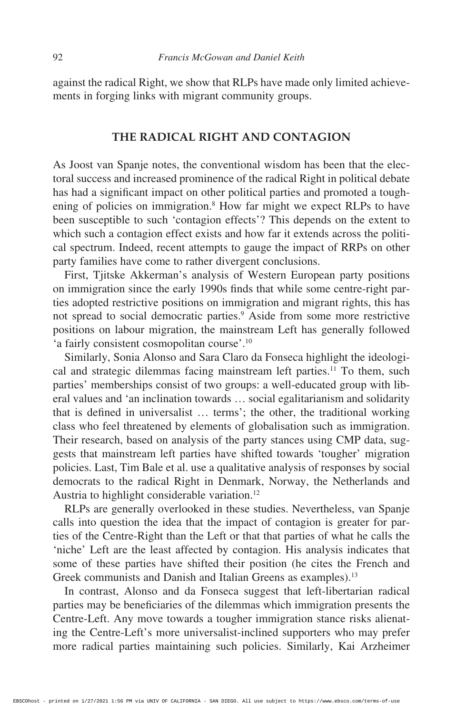against the radical Right, we show that RLPs have made only limited achievements in forging links with migrant community groups.

#### **THE RADICAL RIGHT AND CONTAGION**

As Joost van Spanje notes, the conventional wisdom has been that the electoral success and increased prominence of the radical Right in political debate has had a significant impact on other political parties and promoted a toughening of policies on immigration.<sup>8</sup> How far might we expect RLPs to have been susceptible to such 'contagion effects'? This depends on the extent to which such a contagion effect exists and how far it extends across the political spectrum. Indeed, recent attempts to gauge the impact of RRPs on other party families have come to rather divergent conclusions.

First, Tjitske Akkerman's analysis of Western European party positions on immigration since the early 1990s finds that while some centre-right parties adopted restrictive positions on immigration and migrant rights, this has not spread to social democratic parties.9 Aside from some more restrictive positions on labour migration, the mainstream Left has generally followed 'a fairly consistent cosmopolitan course'.10

Similarly, Sonia Alonso and Sara Claro da Fonseca highlight the ideological and strategic dilemmas facing mainstream left parties.<sup>11</sup> To them, such parties' memberships consist of two groups: a well-educated group with liberal values and 'an inclination towards … social egalitarianism and solidarity that is defined in universalist … terms'; the other, the traditional working class who feel threatened by elements of globalisation such as immigration. Their research, based on analysis of the party stances using CMP data, suggests that mainstream left parties have shifted towards 'tougher' migration policies. Last, Tim Bale et al. use a qualitative analysis of responses by social democrats to the radical Right in Denmark, Norway, the Netherlands and Austria to highlight considerable variation.<sup>12</sup>

RLPs are generally overlooked in these studies. Nevertheless, van Spanje calls into question the idea that the impact of contagion is greater for parties of the Centre-Right than the Left or that that parties of what he calls the 'niche' Left are the least affected by contagion. His analysis indicates that some of these parties have shifted their position (he cites the French and Greek communists and Danish and Italian Greens as examples).<sup>13</sup>

In contrast, Alonso and da Fonseca suggest that left-libertarian radical parties may be beneficiaries of the dilemmas which immigration presents the Centre-Left. Any move towards a tougher immigration stance risks alienating the Centre-Left's more universalist-inclined supporters who may prefer more radical parties maintaining such policies. Similarly, Kai Arzheimer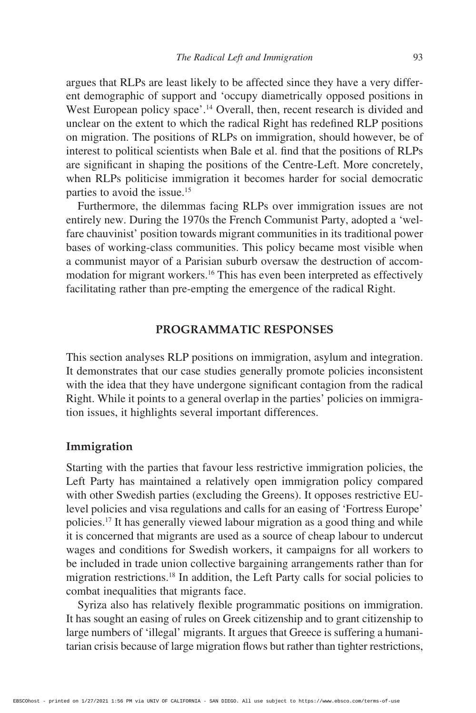argues that RLPs are least likely to be affected since they have a very different demographic of support and 'occupy diametrically opposed positions in West European policy space'.<sup>14</sup> Overall, then, recent research is divided and unclear on the extent to which the radical Right has redefined RLP positions on migration. The positions of RLPs on immigration, should however, be of interest to political scientists when Bale et al. find that the positions of RLPs are significant in shaping the positions of the Centre-Left. More concretely, when RLPs politicise immigration it becomes harder for social democratic parties to avoid the issue.<sup>15</sup>

Furthermore, the dilemmas facing RLPs over immigration issues are not entirely new. During the 1970s the French Communist Party, adopted a 'welfare chauvinist' position towards migrant communities in its traditional power bases of working-class communities. This policy became most visible when a communist mayor of a Parisian suburb oversaw the destruction of accommodation for migrant workers.16 This has even been interpreted as effectively facilitating rather than pre-empting the emergence of the radical Right.

#### **PROGRAMMATIC RESPONSES**

This section analyses RLP positions on immigration, asylum and integration. It demonstrates that our case studies generally promote policies inconsistent with the idea that they have undergone significant contagion from the radical Right. While it points to a general overlap in the parties' policies on immigration issues, it highlights several important differences.

#### **Immigration**

Starting with the parties that favour less restrictive immigration policies, the Left Party has maintained a relatively open immigration policy compared with other Swedish parties (excluding the Greens). It opposes restrictive EUlevel policies and visa regulations and calls for an easing of 'Fortress Europe' policies.17 It has generally viewed labour migration as a good thing and while it is concerned that migrants are used as a source of cheap labour to undercut wages and conditions for Swedish workers, it campaigns for all workers to be included in trade union collective bargaining arrangements rather than for migration restrictions.18 In addition, the Left Party calls for social policies to combat inequalities that migrants face.

Syriza also has relatively flexible programmatic positions on immigration. It has sought an easing of rules on Greek citizenship and to grant citizenship to large numbers of 'illegal' migrants. It argues that Greece is suffering a humanitarian crisis because of large migration flows but rather than tighter restrictions,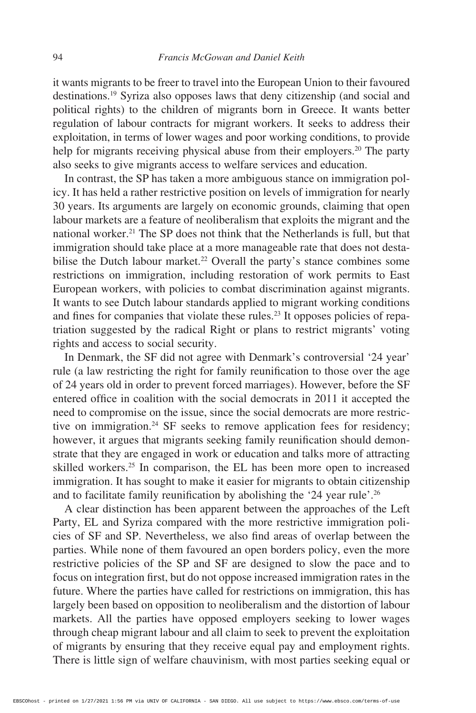it wants migrants to be freer to travel into the European Union to their favoured destinations.19 Syriza also opposes laws that deny citizenship (and social and political rights) to the children of migrants born in Greece. It wants better regulation of labour contracts for migrant workers. It seeks to address their exploitation, in terms of lower wages and poor working conditions, to provide help for migrants receiving physical abuse from their employers.<sup>20</sup> The party also seeks to give migrants access to welfare services and education.

In contrast, the SP has taken a more ambiguous stance on immigration policy. It has held a rather restrictive position on levels of immigration for nearly 30 years. Its arguments are largely on economic grounds, claiming that open labour markets are a feature of neoliberalism that exploits the migrant and the national worker.21 The SP does not think that the Netherlands is full, but that immigration should take place at a more manageable rate that does not destabilise the Dutch labour market.<sup>22</sup> Overall the party's stance combines some restrictions on immigration, including restoration of work permits to East European workers, with policies to combat discrimination against migrants. It wants to see Dutch labour standards applied to migrant working conditions and fines for companies that violate these rules.<sup>23</sup> It opposes policies of repatriation suggested by the radical Right or plans to restrict migrants' voting rights and access to social security.

In Denmark, the SF did not agree with Denmark's controversial '24 year' rule (a law restricting the right for family reunification to those over the age of 24 years old in order to prevent forced marriages). However, before the SF entered office in coalition with the social democrats in 2011 it accepted the need to compromise on the issue, since the social democrats are more restrictive on immigration.<sup>24</sup> SF seeks to remove application fees for residency; however, it argues that migrants seeking family reunification should demonstrate that they are engaged in work or education and talks more of attracting skilled workers.<sup>25</sup> In comparison, the EL has been more open to increased immigration. It has sought to make it easier for migrants to obtain citizenship and to facilitate family reunification by abolishing the '24 year rule'.<sup>26</sup>

A clear distinction has been apparent between the approaches of the Left Party, EL and Syriza compared with the more restrictive immigration policies of SF and SP. Nevertheless, we also find areas of overlap between the parties. While none of them favoured an open borders policy, even the more restrictive policies of the SP and SF are designed to slow the pace and to focus on integration first, but do not oppose increased immigration rates in the future. Where the parties have called for restrictions on immigration, this has largely been based on opposition to neoliberalism and the distortion of labour markets. All the parties have opposed employers seeking to lower wages through cheap migrant labour and all claim to seek to prevent the exploitation of migrants by ensuring that they receive equal pay and employment rights. There is little sign of welfare chauvinism, with most parties seeking equal or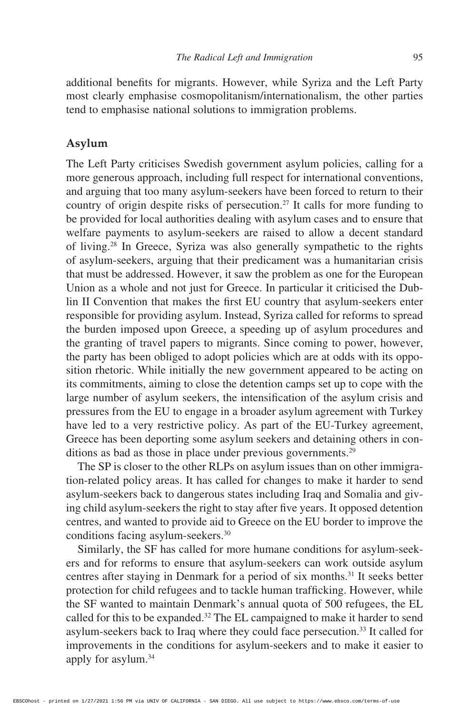additional benefits for migrants. However, while Syriza and the Left Party most clearly emphasise cosmopolitanism/internationalism, the other parties tend to emphasise national solutions to immigration problems.

#### **Asylum**

The Left Party criticises Swedish government asylum policies, calling for a more generous approach, including full respect for international conventions, and arguing that too many asylum-seekers have been forced to return to their country of origin despite risks of persecution.<sup>27</sup> It calls for more funding to be provided for local authorities dealing with asylum cases and to ensure that welfare payments to asylum-seekers are raised to allow a decent standard of living.28 In Greece, Syriza was also generally sympathetic to the rights of asylum-seekers, arguing that their predicament was a humanitarian crisis that must be addressed. However, it saw the problem as one for the European Union as a whole and not just for Greece. In particular it criticised the Dublin II Convention that makes the first EU country that asylum-seekers enter responsible for providing asylum. Instead, Syriza called for reforms to spread the burden imposed upon Greece, a speeding up of asylum procedures and the granting of travel papers to migrants. Since coming to power, however, the party has been obliged to adopt policies which are at odds with its opposition rhetoric. While initially the new government appeared to be acting on its commitments, aiming to close the detention camps set up to cope with the large number of asylum seekers, the intensification of the asylum crisis and pressures from the EU to engage in a broader asylum agreement with Turkey have led to a very restrictive policy. As part of the EU-Turkey agreement, Greece has been deporting some asylum seekers and detaining others in conditions as bad as those in place under previous governments.<sup>29</sup>

The SP is closer to the other RLPs on asylum issues than on other immigration-related policy areas. It has called for changes to make it harder to send asylum-seekers back to dangerous states including Iraq and Somalia and giving child asylum-seekers the right to stay after five years. It opposed detention centres, and wanted to provide aid to Greece on the EU border to improve the conditions facing asylum-seekers.30

Similarly, the SF has called for more humane conditions for asylum-seekers and for reforms to ensure that asylum-seekers can work outside asylum centres after staying in Denmark for a period of six months.<sup>31</sup> It seeks better protection for child refugees and to tackle human trafficking. However, while the SF wanted to maintain Denmark's annual quota of 500 refugees, the EL called for this to be expanded.<sup>32</sup> The EL campaigned to make it harder to send asylum-seekers back to Iraq where they could face persecution.33 It called for improvements in the conditions for asylum-seekers and to make it easier to apply for asylum.34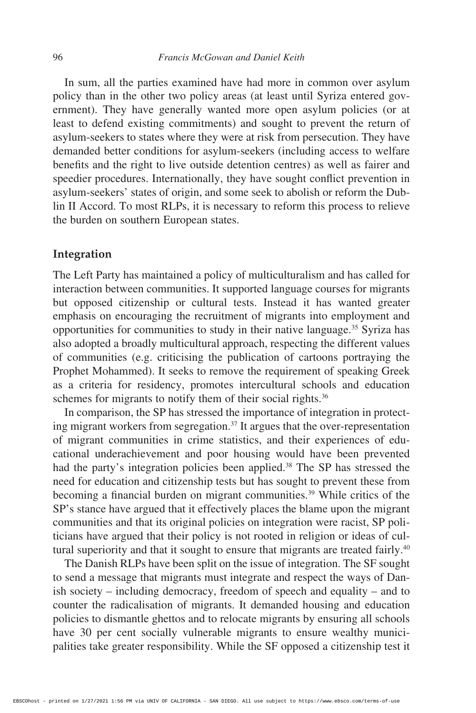In sum, all the parties examined have had more in common over asylum policy than in the other two policy areas (at least until Syriza entered government). They have generally wanted more open asylum policies (or at least to defend existing commitments) and sought to prevent the return of asylum-seekers to states where they were at risk from persecution. They have demanded better conditions for asylum-seekers (including access to welfare benefits and the right to live outside detention centres) as well as fairer and speedier procedures. Internationally, they have sought conflict prevention in asylum-seekers' states of origin, and some seek to abolish or reform the Dublin II Accord. To most RLPs, it is necessary to reform this process to relieve the burden on southern European states.

#### **Integration**

The Left Party has maintained a policy of multiculturalism and has called for interaction between communities. It supported language courses for migrants but opposed citizenship or cultural tests. Instead it has wanted greater emphasis on encouraging the recruitment of migrants into employment and opportunities for communities to study in their native language.35 Syriza has also adopted a broadly multicultural approach, respecting the different values of communities (e.g. criticising the publication of cartoons portraying the Prophet Mohammed). It seeks to remove the requirement of speaking Greek as a criteria for residency, promotes intercultural schools and education schemes for migrants to notify them of their social rights.<sup>36</sup>

In comparison, the SP has stressed the importance of integration in protecting migrant workers from segregation.37 It argues that the over-representation of migrant communities in crime statistics, and their experiences of educational underachievement and poor housing would have been prevented had the party's integration policies been applied.<sup>38</sup> The SP has stressed the need for education and citizenship tests but has sought to prevent these from becoming a financial burden on migrant communities.<sup>39</sup> While critics of the SP's stance have argued that it effectively places the blame upon the migrant communities and that its original policies on integration were racist, SP politicians have argued that their policy is not rooted in religion or ideas of cultural superiority and that it sought to ensure that migrants are treated fairly.<sup>40</sup>

The Danish RLPs have been split on the issue of integration. The SF sought to send a message that migrants must integrate and respect the ways of Danish society – including democracy, freedom of speech and equality – and to counter the radicalisation of migrants. It demanded housing and education policies to dismantle ghettos and to relocate migrants by ensuring all schools have 30 per cent socially vulnerable migrants to ensure wealthy municipalities take greater responsibility. While the SF opposed a citizenship test it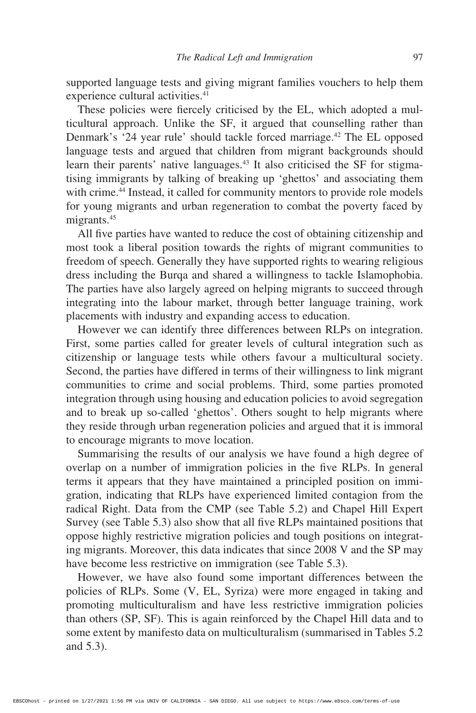supported language tests and giving migrant families vouchers to help them experience cultural activities.<sup>41</sup>

These policies were fiercely criticised by the EL, which adopted a multicultural approach. Unlike the SF, it argued that counselling rather than Denmark's '24 year rule' should tackle forced marriage.<sup>42</sup> The EL opposed language tests and argued that children from migrant backgrounds should learn their parents' native languages.<sup>43</sup> It also criticised the SF for stigmatising immigrants by talking of breaking up 'ghettos' and associating them with crime.<sup>44</sup> Instead, it called for community mentors to provide role models for young migrants and urban regeneration to combat the poverty faced by migrants.45

All five parties have wanted to reduce the cost of obtaining citizenship and most took a liberal position towards the rights of migrant communities to freedom of speech. Generally they have supported rights to wearing religious dress including the Burqa and shared a willingness to tackle Islamophobia. The parties have also largely agreed on helping migrants to succeed through integrating into the labour market, through better language training, work placements with industry and expanding access to education.

However we can identify three differences between RLPs on integration. First, some parties called for greater levels of cultural integration such as citizenship or language tests while others favour a multicultural society. Second, the parties have differed in terms of their willingness to link migrant communities to crime and social problems. Third, some parties promoted integration through using housing and education policies to avoid segregation and to break up so-called 'ghettos'. Others sought to help migrants where they reside through urban regeneration policies and argued that it is immoral to encourage migrants to move location.

Summarising the results of our analysis we have found a high degree of overlap on a number of immigration policies in the five RLPs. In general terms it appears that they have maintained a principled position on immigration, indicating that RLPs have experienced limited contagion from the radical Right. Data from the CMP (see Table 5.2) and Chapel Hill Expert Survey (see Table 5.3) also show that all five RLPs maintained positions that oppose highly restrictive migration policies and tough positions on integrating migrants. Moreover, this data indicates that since 2008 V and the SP may have become less restrictive on immigration (see Table 5.3).

However, we have also found some important differences between the policies of RLPs. Some (V, EL, Syriza) were more engaged in taking and promoting multiculturalism and have less restrictive immigration policies than others (SP, SF). This is again reinforced by the Chapel Hill data and to some extent by manifesto data on multiculturalism (summarised in Tables 5.2 and 5.3).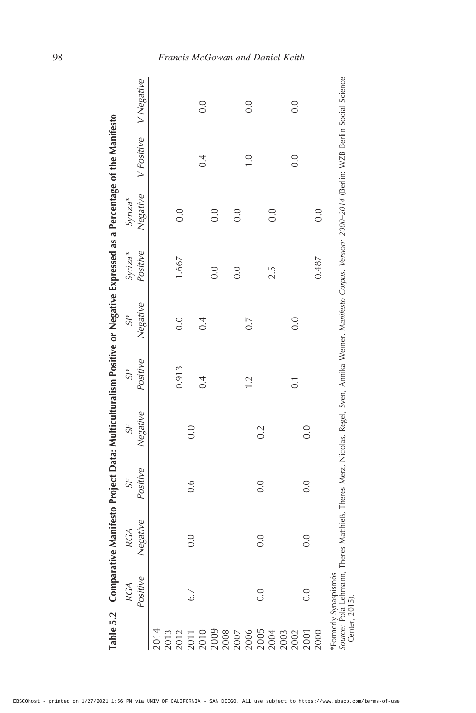|                                                                         |          |                                                                                                                                            |                  | Table 5.2 Comparative Manifesto Project Data: Multiculturalism Positive or Negative Expressed as a Percentage of the Manifesto |                   |          |            |            |                  |                       |
|-------------------------------------------------------------------------|----------|--------------------------------------------------------------------------------------------------------------------------------------------|------------------|--------------------------------------------------------------------------------------------------------------------------------|-------------------|----------|------------|------------|------------------|-----------------------|
|                                                                         | RGA      | RGA                                                                                                                                        | SF               | SF                                                                                                                             | $S^{\mathcal{P}}$ | $S^p$    | $Sv$ riza* | $Sv$ riza* |                  |                       |
|                                                                         | Positive | Negative                                                                                                                                   | Positive         | Negative                                                                                                                       | Positive          | Negative | Positive   | Negative   |                  | V Positive V Negative |
| 2014                                                                    |          |                                                                                                                                            |                  |                                                                                                                                |                   |          |            |            |                  |                       |
|                                                                         |          |                                                                                                                                            |                  |                                                                                                                                |                   |          |            |            |                  |                       |
| 2013<br>2012<br>2011                                                    |          |                                                                                                                                            |                  |                                                                                                                                | 0.913             | 0.0      | 1.667      | 0.0        |                  |                       |
|                                                                         | 6.7      | 0.0                                                                                                                                        | $0.\overline{6}$ | 0.0                                                                                                                            |                   |          |            |            |                  |                       |
| 2010                                                                    |          |                                                                                                                                            |                  |                                                                                                                                | 0.4               | 0.4      |            |            | 0.4              | 0.0                   |
| 2009<br>2008<br>2007                                                    |          |                                                                                                                                            |                  |                                                                                                                                |                   |          | 0.0        | 0.0        |                  |                       |
|                                                                         |          |                                                                                                                                            |                  |                                                                                                                                |                   |          |            |            |                  |                       |
|                                                                         |          |                                                                                                                                            |                  |                                                                                                                                |                   |          | 0.0        | 0.0        |                  |                       |
| 2006                                                                    |          |                                                                                                                                            |                  |                                                                                                                                | $\overline{2}$    | $\sim$   |            |            | $\overline{0}$ . | 0.0                   |
| 2005                                                                    | 0.0      | 0.0                                                                                                                                        | 0.0              | 0.2                                                                                                                            |                   |          |            |            |                  |                       |
| 2004                                                                    |          |                                                                                                                                            |                  |                                                                                                                                |                   |          | 2.5        | 0.0        |                  |                       |
| 2003                                                                    |          |                                                                                                                                            |                  |                                                                                                                                |                   |          |            |            |                  |                       |
| 2002                                                                    |          |                                                                                                                                            |                  |                                                                                                                                | $\overline{0}$ .  | 0.0      |            |            | 0.0              | 0.0                   |
| 2001                                                                    | 0.0      | 0.0                                                                                                                                        | 0.0              | 0.0                                                                                                                            |                   |          |            |            |                  |                       |
| 2000                                                                    |          |                                                                                                                                            |                  |                                                                                                                                |                   |          | 0.487      | 0.0        |                  |                       |
| <i>Source: Pola Lehmann,</i><br>Center, 2015).<br>*Formerly Synaspismós |          | Theres Matthieß, Theres Merz, Nicolas, Regel, Sven, Annika Werner. Manifesto Corpus. Version: 2000-2014 (Berlin: WZB Berlin Social Science |                  |                                                                                                                                |                   |          |            |            |                  |                       |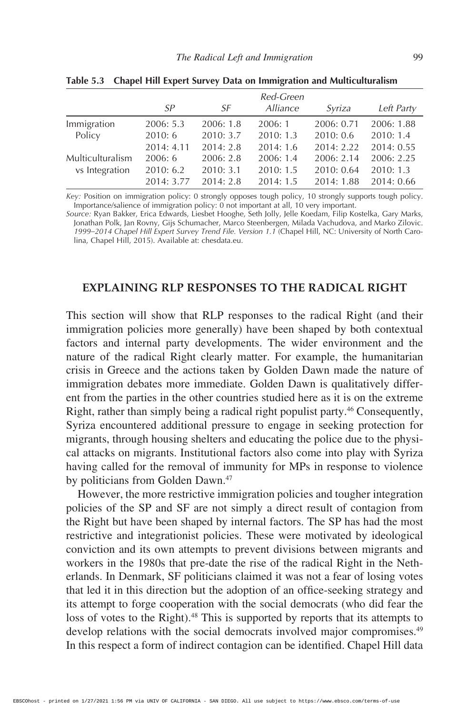|                  |            |           | Red-Green       |            |            |
|------------------|------------|-----------|-----------------|------------|------------|
|                  | SP         | SF        | <i>Alliance</i> | Syriza     | Left Party |
| Immigration      | 2006: 5.3  | 2006: 1.8 | 2006: 1         | 2006: 0.71 | 2006: 1.88 |
| Policy           | 2010:6     | 2010: 3.7 | 2010:1.3        | 2010:0.6   | 2010:1.4   |
|                  | 2014:4.11  | 2014:2.8  | 2014:1.6        | 2014:2.22  | 2014:0.55  |
| Multiculturalism | 2006:6     | 2006: 2.8 | 2006: 1.4       | 2006: 2.14 | 2006: 2.25 |
| vs Integration   | 2010:6.2   | 2010:3.1  | 2010: 1.5       | 2010: 0.64 | 2010:1.3   |
|                  | 2014: 3.77 | 2014:2.8  | 2014:1.5        | 2014:1.88  | 2014: 0.66 |

**Table 5.3 Chapel Hill Expert Survey Data on Immigration and Multiculturalism**

*Key:* Position on immigration policy: 0 strongly opposes tough policy, 10 strongly supports tough policy. Importance/salience of immigration policy: 0 not important at all, 10 very important.

*Source:* Ryan Bakker, Erica Edwards, Liesbet Hooghe, Seth Jolly, Jelle Koedam, Filip Kostelka, Gary Marks, Jonathan Polk, Jan Rovny, Gijs Schumacher, Marco Steenbergen, Milada Vachudova, and Marko Zilovic. *1999–2014 Chapel Hill Expert Survey Trend File. Version 1.1* (Chapel Hill, NC: University of North Carolina, Chapel Hill, 2015). Available at: chesdata.eu.

### **EXPLAINING RLP RESPONSES TO THE RADICAL RIGHT**

This section will show that RLP responses to the radical Right (and their immigration policies more generally) have been shaped by both contextual factors and internal party developments. The wider environment and the nature of the radical Right clearly matter. For example, the humanitarian crisis in Greece and the actions taken by Golden Dawn made the nature of immigration debates more immediate. Golden Dawn is qualitatively different from the parties in the other countries studied here as it is on the extreme Right, rather than simply being a radical right populist party.46 Consequently, Syriza encountered additional pressure to engage in seeking protection for migrants, through housing shelters and educating the police due to the physical attacks on migrants. Institutional factors also come into play with Syriza having called for the removal of immunity for MPs in response to violence by politicians from Golden Dawn.<sup>47</sup>

However, the more restrictive immigration policies and tougher integration policies of the SP and SF are not simply a direct result of contagion from the Right but have been shaped by internal factors. The SP has had the most restrictive and integrationist policies. These were motivated by ideological conviction and its own attempts to prevent divisions between migrants and workers in the 1980s that pre-date the rise of the radical Right in the Netherlands. In Denmark, SF politicians claimed it was not a fear of losing votes that led it in this direction but the adoption of an office-seeking strategy and its attempt to forge cooperation with the social democrats (who did fear the loss of votes to the Right).<sup>48</sup> This is supported by reports that its attempts to develop relations with the social democrats involved major compromises.<sup>49</sup> In this respect a form of indirect contagion can be identified. Chapel Hill data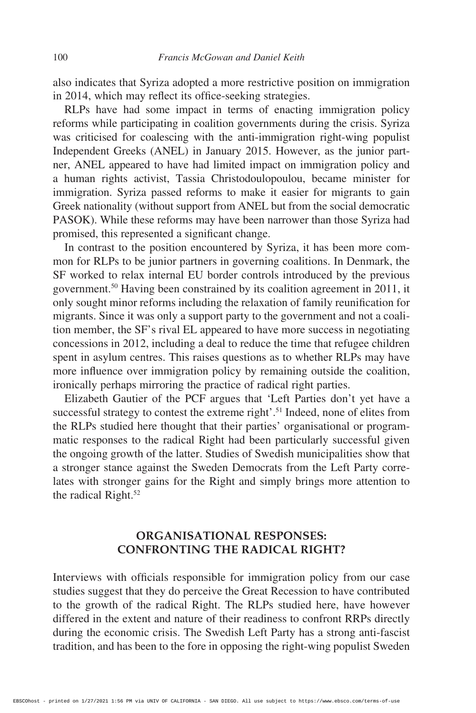also indicates that Syriza adopted a more restrictive position on immigration in 2014, which may reflect its office-seeking strategies.

RLPs have had some impact in terms of enacting immigration policy reforms while participating in coalition governments during the crisis. Syriza was criticised for coalescing with the anti-immigration right-wing populist Independent Greeks (ANEL) in January 2015. However, as the junior partner, ANEL appeared to have had limited impact on immigration policy and a human rights activist, Tassia Christodoulopoulou, became minister for immigration. Syriza passed reforms to make it easier for migrants to gain Greek nationality (without support from ANEL but from the social democratic PASOK). While these reforms may have been narrower than those Syriza had promised, this represented a significant change.

In contrast to the position encountered by Syriza, it has been more common for RLPs to be junior partners in governing coalitions. In Denmark, the SF worked to relax internal EU border controls introduced by the previous government.50 Having been constrained by its coalition agreement in 2011, it only sought minor reforms including the relaxation of family reunification for migrants. Since it was only a support party to the government and not a coalition member, the SF's rival EL appeared to have more success in negotiating concessions in 2012, including a deal to reduce the time that refugee children spent in asylum centres. This raises questions as to whether RLPs may have more influence over immigration policy by remaining outside the coalition, ironically perhaps mirroring the practice of radical right parties.

Elizabeth Gautier of the PCF argues that 'Left Parties don't yet have a successful strategy to contest the extreme right'.<sup>51</sup> Indeed, none of elites from the RLPs studied here thought that their parties' organisational or programmatic responses to the radical Right had been particularly successful given the ongoing growth of the latter. Studies of Swedish municipalities show that a stronger stance against the Sweden Democrats from the Left Party correlates with stronger gains for the Right and simply brings more attention to the radical Right.<sup>52</sup>

# **ORGANISATIONAL RESPONSES: CONFRONTING THE RADICAL RIGHT?**

Interviews with officials responsible for immigration policy from our case studies suggest that they do perceive the Great Recession to have contributed to the growth of the radical Right. The RLPs studied here, have however differed in the extent and nature of their readiness to confront RRPs directly during the economic crisis. The Swedish Left Party has a strong anti-fascist tradition, and has been to the fore in opposing the right-wing populist Sweden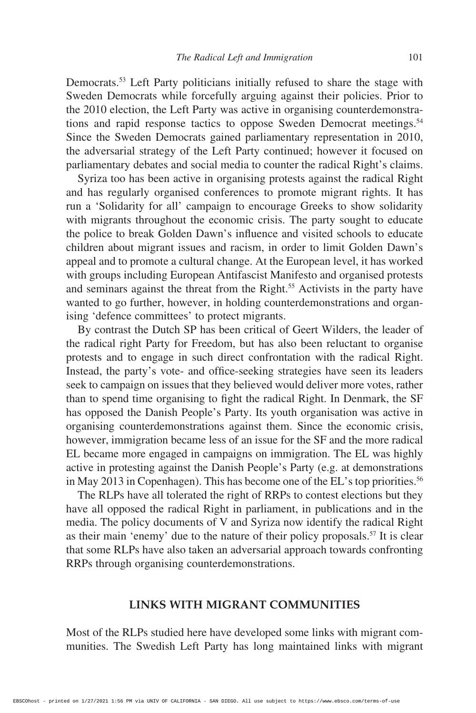Democrats.<sup>53</sup> Left Party politicians initially refused to share the stage with Sweden Democrats while forcefully arguing against their policies. Prior to the 2010 election, the Left Party was active in organising counterdemonstrations and rapid response tactics to oppose Sweden Democrat meetings.<sup>54</sup> Since the Sweden Democrats gained parliamentary representation in 2010, the adversarial strategy of the Left Party continued; however it focused on parliamentary debates and social media to counter the radical Right's claims.

Syriza too has been active in organising protests against the radical Right and has regularly organised conferences to promote migrant rights. It has run a 'Solidarity for all' campaign to encourage Greeks to show solidarity with migrants throughout the economic crisis. The party sought to educate the police to break Golden Dawn's influence and visited schools to educate children about migrant issues and racism, in order to limit Golden Dawn's appeal and to promote a cultural change. At the European level, it has worked with groups including European Antifascist Manifesto and organised protests and seminars against the threat from the Right.<sup>55</sup> Activists in the party have wanted to go further, however, in holding counterdemonstrations and organising 'defence committees' to protect migrants.

By contrast the Dutch SP has been critical of Geert Wilders, the leader of the radical right Party for Freedom, but has also been reluctant to organise protests and to engage in such direct confrontation with the radical Right. Instead, the party's vote- and office-seeking strategies have seen its leaders seek to campaign on issues that they believed would deliver more votes, rather than to spend time organising to fight the radical Right. In Denmark, the SF has opposed the Danish People's Party. Its youth organisation was active in organising counterdemonstrations against them. Since the economic crisis, however, immigration became less of an issue for the SF and the more radical EL became more engaged in campaigns on immigration. The EL was highly active in protesting against the Danish People's Party (e.g. at demonstrations in May 2013 in Copenhagen). This has become one of the EL's top priorities.<sup>56</sup>

The RLPs have all tolerated the right of RRPs to contest elections but they have all opposed the radical Right in parliament, in publications and in the media. The policy documents of V and Syriza now identify the radical Right as their main 'enemy' due to the nature of their policy proposals.<sup>57</sup> It is clear that some RLPs have also taken an adversarial approach towards confronting RRPs through organising counterdemonstrations.

#### **LINKS WITH MIGRANT COMMUNITIES**

Most of the RLPs studied here have developed some links with migrant communities. The Swedish Left Party has long maintained links with migrant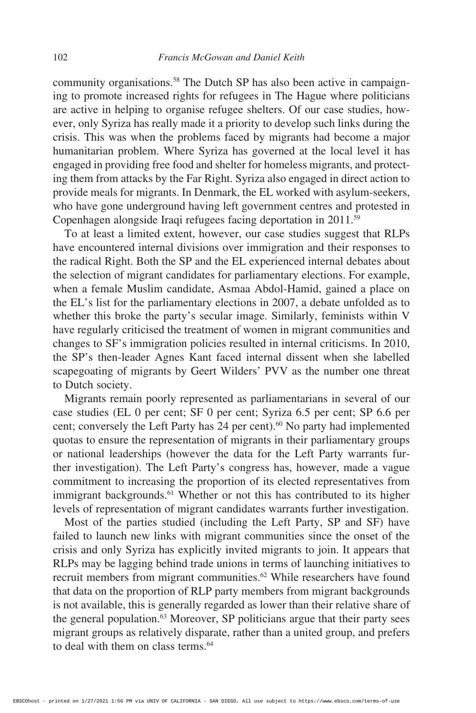community organisations.<sup>58</sup> The Dutch SP has also been active in campaigning to promote increased rights for refugees in The Hague where politicians are active in helping to organise refugee shelters. Of our case studies, however, only Syriza has really made it a priority to develop such links during the crisis. This was when the problems faced by migrants had become a major humanitarian problem. Where Syriza has governed at the local level it has engaged in providing free food and shelter for homeless migrants, and protecting them from attacks by the Far Right. Syriza also engaged in direct action to provide meals for migrants. In Denmark, the EL worked with asylum-seekers, who have gone underground having left government centres and protested in Copenhagen alongside Iraqi refugees facing deportation in 2011.59

To at least a limited extent, however, our case studies suggest that RLPs have encountered internal divisions over immigration and their responses to the radical Right. Both the SP and the EL experienced internal debates about the selection of migrant candidates for parliamentary elections. For example, when a female Muslim candidate, Asmaa Abdol-Hamid, gained a place on the EL's list for the parliamentary elections in 2007, a debate unfolded as to whether this broke the party's secular image. Similarly, feminists within V have regularly criticised the treatment of women in migrant communities and changes to SF's immigration policies resulted in internal criticisms. In 2010, the SP's then-leader Agnes Kant faced internal dissent when she labelled scapegoating of migrants by Geert Wilders' PVV as the number one threat to Dutch society.

Migrants remain poorly represented as parliamentarians in several of our case studies (EL 0 per cent; SF 0 per cent; Syriza 6.5 per cent; SP 6.6 per cent; conversely the Left Party has 24 per cent).<sup>60</sup> No party had implemented quotas to ensure the representation of migrants in their parliamentary groups or national leaderships (however the data for the Left Party warrants further investigation). The Left Party's congress has, however, made a vague commitment to increasing the proportion of its elected representatives from immigrant backgrounds.<sup>61</sup> Whether or not this has contributed to its higher levels of representation of migrant candidates warrants further investigation.

Most of the parties studied (including the Left Party, SP and SF) have failed to launch new links with migrant communities since the onset of the crisis and only Syriza has explicitly invited migrants to join. It appears that RLPs may be lagging behind trade unions in terms of launching initiatives to recruit members from migrant communities.<sup>62</sup> While researchers have found that data on the proportion of RLP party members from migrant backgrounds is not available, this is generally regarded as lower than their relative share of the general population.<sup>63</sup> Moreover, SP politicians argue that their party sees migrant groups as relatively disparate, rather than a united group, and prefers to deal with them on class terms.<sup>64</sup>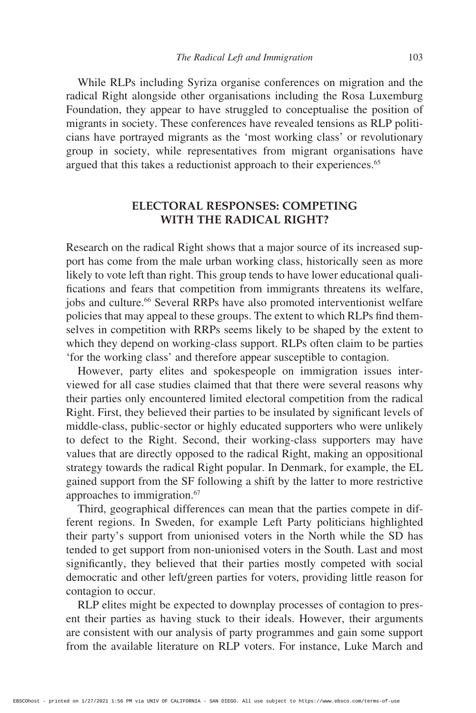While RLPs including Syriza organise conferences on migration and the radical Right alongside other organisations including the Rosa Luxemburg Foundation, they appear to have struggled to conceptualise the position of migrants in society. These conferences have revealed tensions as RLP politicians have portrayed migrants as the 'most working class' or revolutionary group in society, while representatives from migrant organisations have argued that this takes a reductionist approach to their experiences.<sup>65</sup>

## **ELECTORAL RESPONSES: COMPETING WITH THE RADICAL RIGHT?**

Research on the radical Right shows that a major source of its increased support has come from the male urban working class, historically seen as more likely to vote left than right. This group tends to have lower educational qualifications and fears that competition from immigrants threatens its welfare, jobs and culture.66 Several RRPs have also promoted interventionist welfare policies that may appeal to these groups. The extent to which RLPs find themselves in competition with RRPs seems likely to be shaped by the extent to which they depend on working-class support. RLPs often claim to be parties 'for the working class' and therefore appear susceptible to contagion.

However, party elites and spokespeople on immigration issues interviewed for all case studies claimed that that there were several reasons why their parties only encountered limited electoral competition from the radical Right. First, they believed their parties to be insulated by significant levels of middle-class, public-sector or highly educated supporters who were unlikely to defect to the Right. Second, their working-class supporters may have values that are directly opposed to the radical Right, making an oppositional strategy towards the radical Right popular. In Denmark, for example, the EL gained support from the SF following a shift by the latter to more restrictive approaches to immigration.67

Third, geographical differences can mean that the parties compete in different regions. In Sweden, for example Left Party politicians highlighted their party's support from unionised voters in the North while the SD has tended to get support from non-unionised voters in the South. Last and most significantly, they believed that their parties mostly competed with social democratic and other left/green parties for voters, providing little reason for contagion to occur.

RLP elites might be expected to downplay processes of contagion to present their parties as having stuck to their ideals. However, their arguments are consistent with our analysis of party programmes and gain some support from the available literature on RLP voters. For instance, Luke March and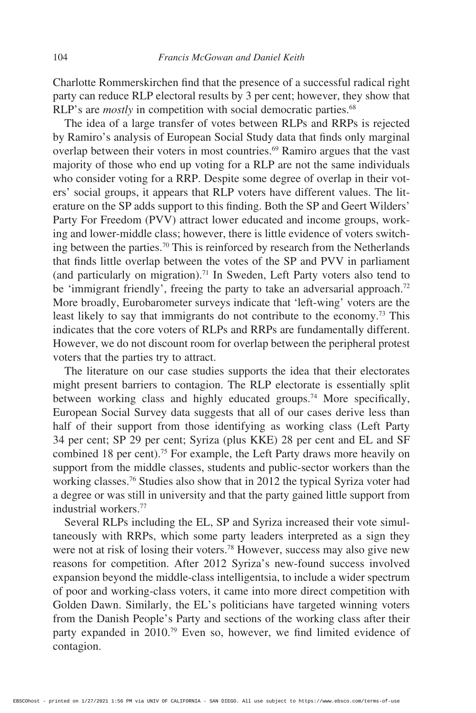Charlotte Rommerskirchen find that the presence of a successful radical right party can reduce RLP electoral results by 3 per cent; however, they show that RLP's are *mostly* in competition with social democratic parties.<sup>68</sup>

The idea of a large transfer of votes between RLPs and RRPs is rejected by Ramiro's analysis of European Social Study data that finds only marginal overlap between their voters in most countries.69 Ramiro argues that the vast majority of those who end up voting for a RLP are not the same individuals who consider voting for a RRP. Despite some degree of overlap in their voters' social groups, it appears that RLP voters have different values. The literature on the SP adds support to this finding. Both the SP and Geert Wilders' Party For Freedom (PVV) attract lower educated and income groups, working and lower-middle class; however, there is little evidence of voters switching between the parties.70 This is reinforced by research from the Netherlands that finds little overlap between the votes of the SP and PVV in parliament (and particularly on migration).71 In Sweden, Left Party voters also tend to be 'immigrant friendly', freeing the party to take an adversarial approach.<sup>72</sup> More broadly, Eurobarometer surveys indicate that 'left-wing' voters are the least likely to say that immigrants do not contribute to the economy.73 This indicates that the core voters of RLPs and RRPs are fundamentally different. However, we do not discount room for overlap between the peripheral protest voters that the parties try to attract.

The literature on our case studies supports the idea that their electorates might present barriers to contagion. The RLP electorate is essentially split between working class and highly educated groups.74 More specifically, European Social Survey data suggests that all of our cases derive less than half of their support from those identifying as working class (Left Party 34 per cent; SP 29 per cent; Syriza (plus KKE) 28 per cent and EL and SF combined 18 per cent).<sup>75</sup> For example, the Left Party draws more heavily on support from the middle classes, students and public-sector workers than the working classes.76 Studies also show that in 2012 the typical Syriza voter had a degree or was still in university and that the party gained little support from industrial workers.77

Several RLPs including the EL, SP and Syriza increased their vote simultaneously with RRPs, which some party leaders interpreted as a sign they were not at risk of losing their voters.78 However, success may also give new reasons for competition. After 2012 Syriza's new-found success involved expansion beyond the middle-class intelligentsia, to include a wider spectrum of poor and working-class voters, it came into more direct competition with Golden Dawn. Similarly, the EL's politicians have targeted winning voters from the Danish People's Party and sections of the working class after their party expanded in 2010.79 Even so, however, we find limited evidence of contagion.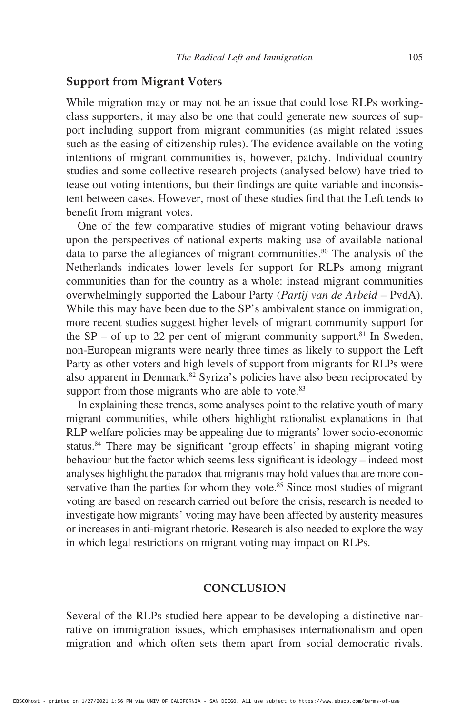#### **Support from Migrant Voters**

While migration may or may not be an issue that could lose RLPs workingclass supporters, it may also be one that could generate new sources of support including support from migrant communities (as might related issues such as the easing of citizenship rules). The evidence available on the voting intentions of migrant communities is, however, patchy. Individual country studies and some collective research projects (analysed below) have tried to tease out voting intentions, but their findings are quite variable and inconsistent between cases. However, most of these studies find that the Left tends to benefit from migrant votes.

One of the few comparative studies of migrant voting behaviour draws upon the perspectives of national experts making use of available national data to parse the allegiances of migrant communities.<sup>80</sup> The analysis of the Netherlands indicates lower levels for support for RLPs among migrant communities than for the country as a whole: instead migrant communities overwhelmingly supported the Labour Party (*Partij van de Arbeid* – PvdA). While this may have been due to the SP's ambivalent stance on immigration, more recent studies suggest higher levels of migrant community support for the  $SP - of up to 22$  per cent of migrant community support.<sup>81</sup> In Sweden, non-European migrants were nearly three times as likely to support the Left Party as other voters and high levels of support from migrants for RLPs were also apparent in Denmark.<sup>82</sup> Syriza's policies have also been reciprocated by support from those migrants who are able to vote.<sup>83</sup>

In explaining these trends, some analyses point to the relative youth of many migrant communities, while others highlight rationalist explanations in that RLP welfare policies may be appealing due to migrants' lower socio-economic status.<sup>84</sup> There may be significant 'group effects' in shaping migrant voting behaviour but the factor which seems less significant is ideology – indeed most analyses highlight the paradox that migrants may hold values that are more conservative than the parties for whom they vote. $85$  Since most studies of migrant voting are based on research carried out before the crisis, research is needed to investigate how migrants' voting may have been affected by austerity measures or increases in anti-migrant rhetoric. Research is also needed to explore the way in which legal restrictions on migrant voting may impact on RLPs.

#### **CONCLUSION**

Several of the RLPs studied here appear to be developing a distinctive narrative on immigration issues, which emphasises internationalism and open migration and which often sets them apart from social democratic rivals.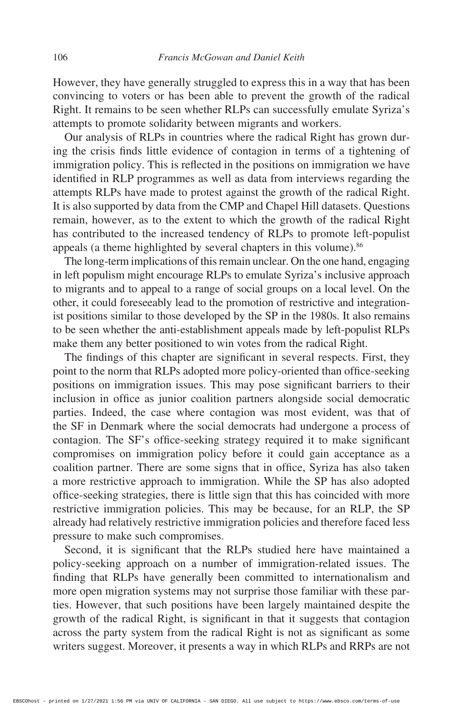However, they have generally struggled to express this in a way that has been convincing to voters or has been able to prevent the growth of the radical Right. It remains to be seen whether RLPs can successfully emulate Syriza's attempts to promote solidarity between migrants and workers.

Our analysis of RLPs in countries where the radical Right has grown during the crisis finds little evidence of contagion in terms of a tightening of immigration policy. This is reflected in the positions on immigration we have identified in RLP programmes as well as data from interviews regarding the attempts RLPs have made to protest against the growth of the radical Right. It is also supported by data from the CMP and Chapel Hill datasets. Questions remain, however, as to the extent to which the growth of the radical Right has contributed to the increased tendency of RLPs to promote left-populist appeals (a theme highlighted by several chapters in this volume).<sup>86</sup>

The long-term implications of this remain unclear. On the one hand, engaging in left populism might encourage RLPs to emulate Syriza's inclusive approach to migrants and to appeal to a range of social groups on a local level. On the other, it could foreseeably lead to the promotion of restrictive and integrationist positions similar to those developed by the SP in the 1980s. It also remains to be seen whether the anti-establishment appeals made by left-populist RLPs make them any better positioned to win votes from the radical Right.

The findings of this chapter are significant in several respects. First, they point to the norm that RLPs adopted more policy-oriented than office-seeking positions on immigration issues. This may pose significant barriers to their inclusion in office as junior coalition partners alongside social democratic parties. Indeed, the case where contagion was most evident, was that of the SF in Denmark where the social democrats had undergone a process of contagion. The SF's office-seeking strategy required it to make significant compromises on immigration policy before it could gain acceptance as a coalition partner. There are some signs that in office, Syriza has also taken a more restrictive approach to immigration. While the SP has also adopted office-seeking strategies, there is little sign that this has coincided with more restrictive immigration policies. This may be because, for an RLP, the SP already had relatively restrictive immigration policies and therefore faced less pressure to make such compromises.

Second, it is significant that the RLPs studied here have maintained a policy-seeking approach on a number of immigration-related issues. The finding that RLPs have generally been committed to internationalism and more open migration systems may not surprise those familiar with these parties. However, that such positions have been largely maintained despite the growth of the radical Right, is significant in that it suggests that contagion across the party system from the radical Right is not as significant as some writers suggest. Moreover, it presents a way in which RLPs and RRPs are not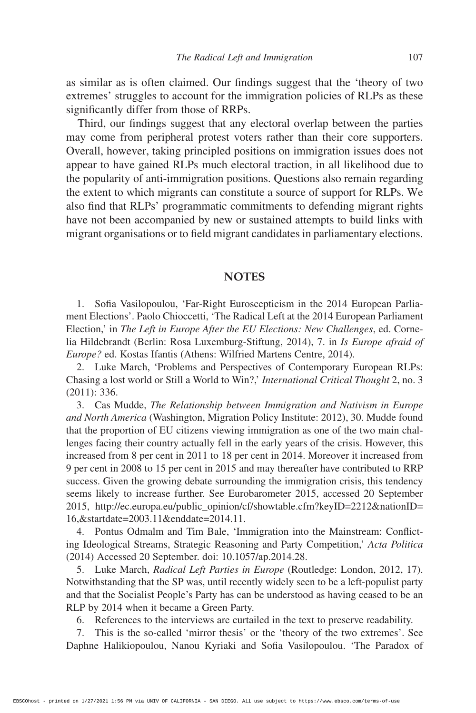as similar as is often claimed. Our findings suggest that the 'theory of two extremes' struggles to account for the immigration policies of RLPs as these significantly differ from those of RRPs.

Third, our findings suggest that any electoral overlap between the parties may come from peripheral protest voters rather than their core supporters. Overall, however, taking principled positions on immigration issues does not appear to have gained RLPs much electoral traction, in all likelihood due to the popularity of anti-immigration positions. Questions also remain regarding the extent to which migrants can constitute a source of support for RLPs. We also find that RLPs' programmatic commitments to defending migrant rights have not been accompanied by new or sustained attempts to build links with migrant organisations or to field migrant candidates in parliamentary elections.

#### **NOTES**

1. Sofia Vasilopoulou, 'Far-Right Euroscepticism in the 2014 European Parliament Elections'. Paolo Chioccetti, 'The Radical Left at the 2014 European Parliament Election,' in *The Left in Europe After the EU Elections: New Challenges*, ed. Cornelia Hildebrandt (Berlin: Rosa Luxemburg-Stiftung, 2014), 7. in *Is Europe afraid of Europe?* ed. Kostas Ifantis (Athens: Wilfried Martens Centre, 2014).

2. Luke March, 'Problems and Perspectives of Contemporary European RLPs: Chasing a lost world or Still a World to Win?,' *International Critical Thought* 2, no. 3 (2011): 336.

3. Cas Mudde, *The Relationship between Immigration and Nativism in Europe and North America* (Washington, Migration Policy Institute: 2012), 30. Mudde found that the proportion of EU citizens viewing immigration as one of the two main challenges facing their country actually fell in the early years of the crisis. However, this increased from 8 per cent in 2011 to 18 per cent in 2014. Moreover it increased from 9 per cent in 2008 to 15 per cent in 2015 and may thereafter have contributed to RRP success. Given the growing debate surrounding the immigration crisis, this tendency seems likely to increase further. See Eurobarometer 2015, accessed 20 September 2015, http://ec.europa.eu/public\_opinion/cf/showtable.cfm?keyID=2212&nationID= 16,&startdate=2003.11&enddate=2014.11.

4. Pontus Odmalm and Tim Bale, 'Immigration into the Mainstream: Conflicting Ideological Streams, Strategic Reasoning and Party Competition,' *Acta Politica*  (2014) Accessed 20 September. doi: 10.1057/ap.2014.28.

5. Luke March, *Radical Left Parties in Europe* (Routledge: London, 2012, 17). Notwithstanding that the SP was, until recently widely seen to be a left-populist party and that the Socialist People's Party has can be understood as having ceased to be an RLP by 2014 when it became a Green Party.

6. References to the interviews are curtailed in the text to preserve readability.

7. This is the so-called 'mirror thesis' or the 'theory of the two extremes'. See Daphne Halikiopoulou, Nanou Kyriaki and Sofia Vasilopoulou. 'The Paradox of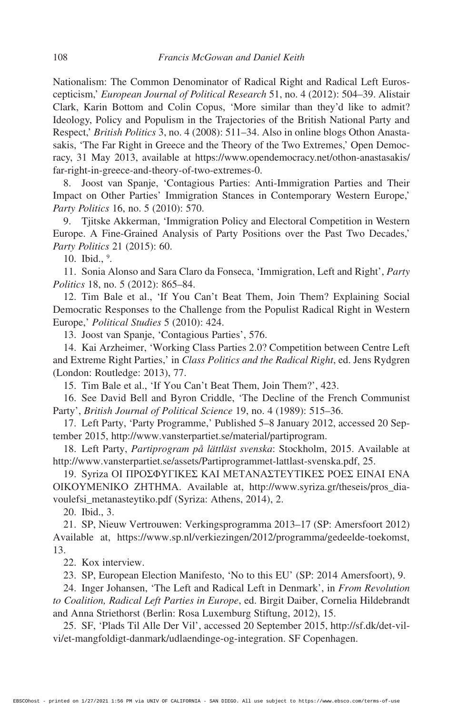Nationalism: The Common Denominator of Radical Right and Radical Left Euroscepticism,' *European Journal of Political Research* 51, no. 4 (2012): 504–39. Alistair Clark, Karin Bottom and Colin Copus, 'More similar than they'd like to admit? Ideology, Policy and Populism in the Trajectories of the British National Party and Respect,' *British Politics* 3, no. 4 (2008): 511–34. Also in online blogs Othon Anastasakis, 'The Far Right in Greece and the Theory of the Two Extremes,' Open Democracy, 31 May 2013, available at https://www.opendemocracy.net/othon-anastasakis/ far-right-in-greece-and-theory-of-two-extremes-0.

8. Joost van Spanje, 'Contagious Parties: Anti-Immigration Parties and Their Impact on Other Parties' Immigration Stances in Contemporary Western Europe,' *Party Politics* 16, no. 5 (2010): 570.

9. Tjitske Akkerman, 'Immigration Policy and Electoral Competition in Western Europe. A Fine-Grained Analysis of Party Positions over the Past Two Decades,' *Party Politics* 21 (2015): 60.

10. Ibid., 9.

11. Sonia Alonso and Sara Claro da Fonseca, 'Immigration, Left and Right', *Party Politics* 18, no. 5 (2012): 865–84.

12. Tim Bale et al., 'If You Can't Beat Them, Join Them? Explaining Social Democratic Responses to the Challenge from the Populist Radical Right in Western Europe,' *Political Studies* 5 (2010): 424.

13. Joost van Spanje, 'Contagious Parties', 576.

14. Kai Arzheimer, 'Working Class Parties 2.0? Competition between Centre Left and Extreme Right Parties,' in *Class Politics and the Radical Right*, ed. Jens Rydgren (London: Routledge: 2013), 77.

15. Tim Bale et al., 'If You Can't Beat Them, Join Them?', 423.

16. See David Bell and Byron Criddle, 'The Decline of the French Communist Party', *British Journal of Political Science* 19, no. 4 (1989): 515–36.

17. Left Party, 'Party Programme,' Published 5–8 January 2012, accessed 20 September 2015, http://www.vansterpartiet.se/material/partiprogram.

18. Left Party, *Partiprogram på lättläst svenska*: Stockholm, 2015. Available at http://www.vansterpartiet.se/assets/Partiprogrammet-lattlast-svenska.pdf, 25.

19. Syriza ΟΙ ΠΡΟΣΦΥΓΙΚΕΣ ΚΑΙ ΜΕΤΑΝΑΣΤΕΥΤΙΚΕΣ ΡΟΕΣ ΕΙΝΑΙ ΕΝΑ ΟΙΚΟΥΜΕΝΙΚΟ ΖΗΤΗΜΑ. Available at, http://www.syriza.gr/theseis/pros\_diavoulefsi\_metanasteytiko.pdf (Syriza: Athens, 2014), 2.

20. Ibid., 3.

21. SP, Nieuw Vertrouwen: Verkingsprogramma 2013–17 (SP: Amersfoort 2012) Available at, https://www.sp.nl/verkiezingen/2012/programma/gedeelde-toekomst, 13.

22. Kox interview.

23. SP, European Election Manifesto, 'No to this EU' (SP: 2014 Amersfoort), 9.

24. Inger Johansen, 'The Left and Radical Left in Denmark', in *From Revolution to Coalition, Radical Left Parties in Europe*, ed. Birgit Daiber, Cornelia Hildebrandt and Anna Striethorst (Berlin: Rosa Luxemburg Stiftung, 2012), 15.

25. SF, 'Plads Til Alle Der Vil', accessed 20 September 2015, http://sf.dk/det-vilvi/et-mangfoldigt-danmark/udlaendinge-og-integration. SF Copenhagen.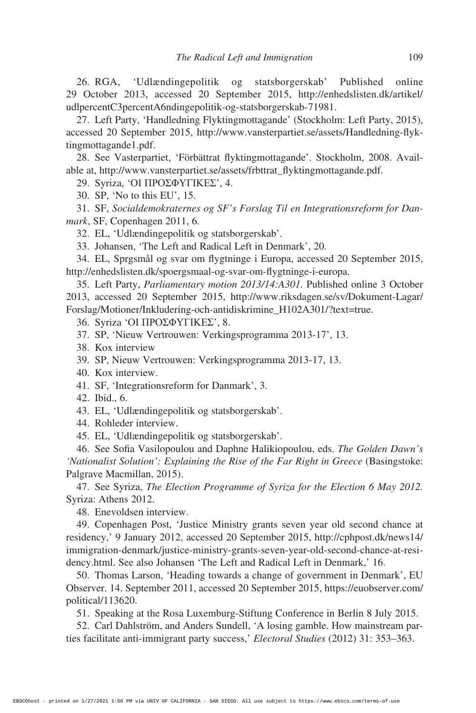26. RGA, 'Udlændingepolitik og statsborgerskab' Published online 29 October 2013, accessed 20 September 2015, http://enhedslisten.dk/artikel/ udlpercentC3percentA6ndingepolitik-og-statsborgerskab-71981.

27. Left Party, 'Handledning Flyktingmottagande' (Stockholm: Left Party, 2015), accessed 20 September 2015, http://www.vansterpartiet.se/assets/Handledning-flyktingmottagande1.pdf.

28. See Vasterpartiet, 'Förbättrat flyktingmottagande'. Stockholm, 2008. Available at, http://www.vansterpartiet.se/assets/frbttrat\_flyktingmottagande.pdf.

29. Syriza, 'ΟΙ ΠΡΟΣΦΥΓΙΚΕΣ', 4.

30. SP, 'No to this EU', 15.

31. SF, *Socialdemokraternes og SF's Forslag Til en Integrationsreform for Danmark*, SF, Copenhagen 2011, 6.

32. EL, 'Udlændingepolitik og statsborgerskab'.

33. Johansen, 'The Left and Radical Left in Denmark', 20.

34. EL, Sprgsmål og svar om flygtninge i Europa, accessed 20 September 2015, http://enhedslisten.dk/spoergsmaal-og-svar-om-flygtninge-i-europa.

35. Left Party, *Parliamentary motion 2013/14:A301.* Published online 3 October 2013, accessed 20 September 2015, http://www.riksdagen.se/sv/Dokument-Lagar/ Forslag/Motioner/Inkludering-och-antidiskrimine\_H102A301/?text=true.

36. Syriza 'ΟΙ ΠΡΟΣΦΥΓΙΚΕΣ', 8.

37. SP, 'Nieuw Vertrouwen: Verkingsprogramma 2013-17', 13.

38. Kox interview

39. SP, Nieuw Vertrouwen: Verkingsprogramma 2013-17, 13.

40. Kox interview.

41. SF, 'Integrationsreform for Danmark', 3.

42. Ibid., 6.

43. EL, 'Udlændingepolitik og statsborgerskab'.

44. Rohleder interview.

45. EL, 'Udlændingepolitik og statsborgerskab'.

46. See Sofia Vasilopoulou and Daphne Halikiopoulou, eds. *The Golden Dawn's*  'Nationalist Solution': Explaining the Rise of the Far Right in Greece (Basingstoke: Palgrave Macmillan, 2015).

47. See Syriza, *The Election Programme of Syriza for the Election 6 May 2012.* Syriza: Athens 2012.

48. Enevoldsen interview.

49. Copenhagen Post, 'Justice Ministry grants seven year old second chance at residency,' 9 January 2012, accessed 20 September 2015, http://cphpost.dk/news14/ immigration-denmark/justice-ministry-grants-seven-year-old-second-chance-at-residency.html. See also Johansen 'The Left and Radical Left in Denmark,' 16.

50. Thomas Larson, 'Heading towards a change of government in Denmark', EU Observer. 14. September 2011, accessed 20 September 2015, https://euobserver.com/ political/113620.

51. Speaking at the Rosa Luxemburg-Stiftung Conference in Berlin 8 July 2015.

52. Carl Dahlström, and Anders Sundell, 'A losing gamble. How mainstream parties facilitate anti-immigrant party success,' *Electoral Studies* (2012) 31: 353–363.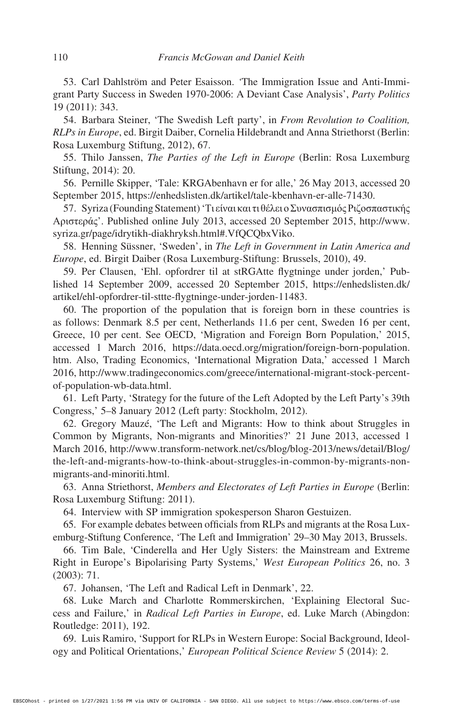53. Carl Dahlström and Peter Esaisson. *'*The Immigration Issue and Anti-Immigrant Party Success in Sweden 1970-2006: A Deviant Case Analysis', *Party Politics*  19 (2011): 343.

54. Barbara Steiner, 'The Swedish Left party', in *From Revolution to Coalition, RLPs in Europe*, ed. Birgit Daiber, Cornelia Hildebrandt and Anna Striethorst (Berlin: Rosa Luxemburg Stiftung, 2012), 67.

55. Thilo Janssen, *The Parties of the Left in Europe* (Berlin: Rosa Luxemburg Stiftung, 2014): 20.

56. Pernille Skipper, 'Tale: KRGAbenhavn er for alle,' 26 May 2013, accessed 20 September 2015, https://enhedslisten.dk/artikel/tale-kbenhavn-er-alle-71430.

57. Syriza (Founding Statement) 'Τι είναι και τι θέλει ο Συνασπισμός Ριζοσπαστικής Αριστεράς'. Published online July 2013, accessed 20 September 2015, http://www. syriza.gr/page/idrytikh-diakhryksh.html#.VfQCQbxViko.

58. Henning Süssner, 'Sweden', in *The Left in Government in Latin America and Europe*, ed. Birgit Daiber (Rosa Luxemburg-Stiftung: Brussels, 2010), 49.

59. Per Clausen, 'Ehl. opfordrer til at stRGAtte flygtninge under jorden,' Published 14 September 2009, accessed 20 September 2015, https://enhedslisten.dk/ artikel/ehl-opfordrer-til-sttte-flygtninge-under-jorden-11483.

60. The proportion of the population that is foreign born in these countries is as follows: Denmark 8.5 per cent, Netherlands 11.6 per cent, Sweden 16 per cent, Greece, 10 per cent. See OECD, 'Migration and Foreign Born Population,' 2015, accessed 1 March 2016, https://data.oecd.org/migration/foreign-born-population. htm. Also, Trading Economics, 'International Migration Data,' accessed 1 March 2016, http://www.tradingeconomics.com/greece/international-migrant-stock-percentof-population-wb-data.html.

61. Left Party, 'Strategy for the future of the Left Adopted by the Left Party's 39th Congress,' 5–8 January 2012 (Left party: Stockholm, 2012).

62. Gregory Mauzé, 'The Left and Migrants: How to think about Struggles in Common by Migrants, Non-migrants and Minorities?' 21 June 2013, accessed 1 March 2016, http://www.transform-network.net/cs/blog/blog-2013/news/detail/Blog/ the-left-and-migrants-how-to-think-about-struggles-in-common-by-migrants-nonmigrants-and-minoriti.html.

63. Anna Striethorst, *Members and Electorates of Left Parties in Europe* (Berlin: Rosa Luxemburg Stiftung: 2011).

64. Interview with SP immigration spokesperson Sharon Gestuizen.

65. For example debates between officials from RLPs and migrants at the Rosa Luxemburg-Stiftung Conference, 'The Left and Immigration' 29–30 May 2013, Brussels.

66. Tim Bale, 'Cinderella and Her Ugly Sisters: the Mainstream and Extreme Right in Europe's Bipolarising Party Systems,' *West European Politics* 26, no. 3 (2003): 71.

67. Johansen, 'The Left and Radical Left in Denmark', 22.

68. Luke March and Charlotte Rommerskirchen, 'Explaining Electoral Success and Failure,' in *Radical Left Parties in Europe*, ed. Luke March (Abingdon: Routledge: 2011), 192.

69. Luis Ramiro, 'Support for RLPs in Western Europe: Social Background, Ideology and Political Orientations,' *European Political Science Review* 5 (2014): 2.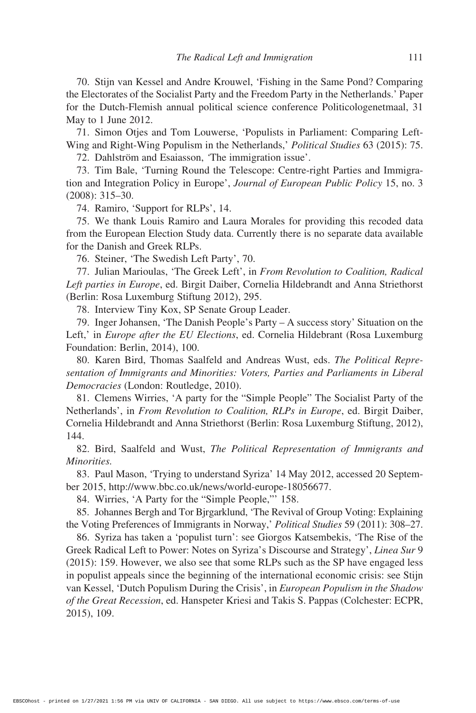70. Stijn van Kessel and Andre Krouwel, 'Fishing in the Same Pond? Comparing the Electorates of the Socialist Party and the Freedom Party in the Netherlands.' Paper for the Dutch-Flemish annual political science conference Politicologenetmaal, 31 May to 1 June 2012.

71. Simon Otjes and Tom Louwerse, 'Populists in Parliament: Comparing Left-Wing and Right-Wing Populism in the Netherlands,' *Political Studies* 63 (2015): 75.

72. Dahlström and Esaiasson, *'*The immigration issue'.

73. Tim Bale, 'Turning Round the Telescope: Centre-right Parties and Immigration and Integration Policy in Europe', *Journal of European Public Policy* 15, no. 3 (2008): 315–30.

74. Ramiro, 'Support for RLPs', 14.

75. We thank Louis Ramiro and Laura Morales for providing this recoded data from the European Election Study data. Currently there is no separate data available for the Danish and Greek RLPs.

76. Steiner, 'The Swedish Left Party', 70.

77. Julian Marioulas, 'The Greek Left', in *From Revolution to Coalition, Radical Left parties in Europe*, ed. Birgit Daiber, Cornelia Hildebrandt and Anna Striethorst (Berlin: Rosa Luxemburg Stiftung 2012), 295.

78. Interview Tiny Kox, SP Senate Group Leader.

79. Inger Johansen, 'The Danish People's Party – A success story' Situation on the Left,' in *Europe after the EU Elections*, ed. Cornelia Hildebrant (Rosa Luxemburg Foundation: Berlin, 2014), 100.

80. Karen Bird, Thomas Saalfeld and Andreas Wust, eds. *The Political Representation of Immigrants and Minorities: Voters, Parties and Parliaments in Liberal Democracies* (London: Routledge, 2010).

81. Clemens Wirries, 'A party for the "Simple People" The Socialist Party of the Netherlands', in *From Revolution to Coalition, RLPs in Europe*, ed. Birgit Daiber, Cornelia Hildebrandt and Anna Striethorst (Berlin: Rosa Luxemburg Stiftung, 2012), 144.

82. Bird, Saalfeld and Wust, *The Political Representation of Immigrants and Minorities.*

83. Paul Mason, 'Trying to understand Syriza' 14 May 2012, accessed 20 September 2015, http://www.bbc.co.uk/news/world-europe-18056677.

84. Wirries, 'A Party for the "Simple People,"' 158.

85. Johannes Bergh and Tor Bjrgarklund, 'The Revival of Group Voting: Explaining the Voting Preferences of Immigrants in Norway,' *Political Studies* 59 (2011): 308–27.

86. Syriza has taken a 'populist turn': see Giorgos Katsembekis, 'The Rise of the Greek Radical Left to Power: Notes on Syriza's Discourse and Strategy', *Linea Sur* 9 (2015): 159. However, we also see that some RLPs such as the SP have engaged less in populist appeals since the beginning of the international economic crisis: see Stijn van Kessel, 'Dutch Populism During the Crisis', in *European Populism in the Shadow of the Great Recession*, ed. Hanspeter Kriesi and Takis S. Pappas (Colchester: ECPR, 2015), 109.